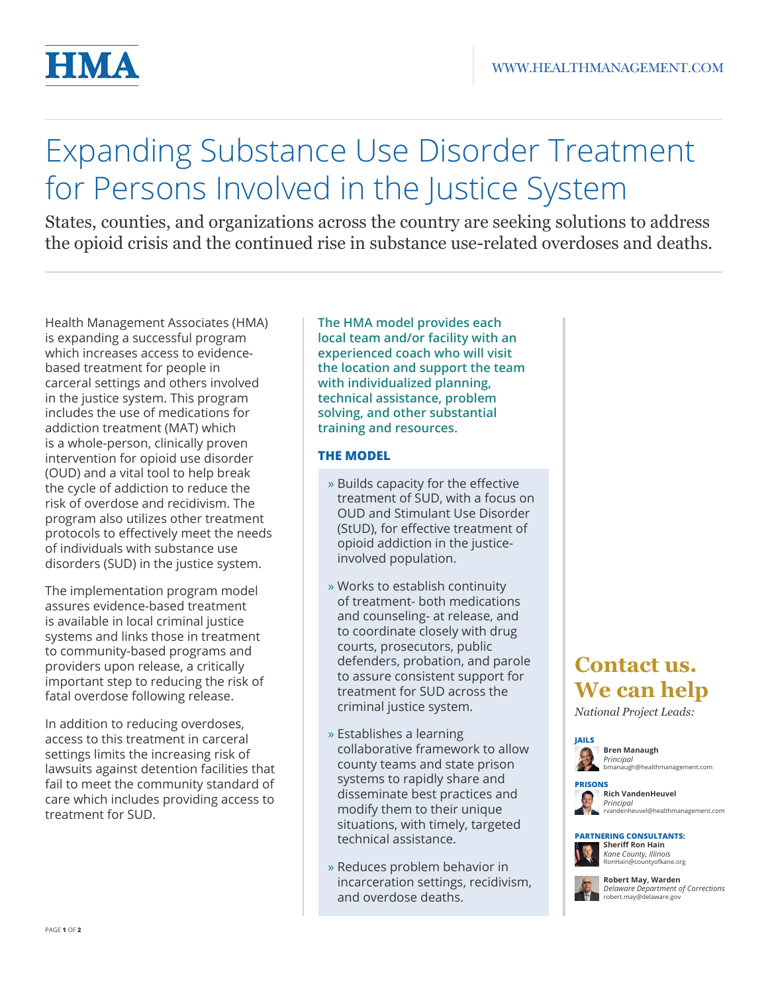

# Expanding Substance Use Disorder Treatment for Persons Involved in the Justice System

States, counties, and organizations across the country are seeking solutions to address the opioid crisis and the continued rise in substance use-related overdoses and deaths.

Health Management Associates (HMA) is expanding a successful program which increases access to evidencebased treatment for people in carceral settings and others involved in the justice system. This program includes the use of medications for addiction treatment (MAT) which is a whole-person, clinically proven intervention for opioid use disorder (OUD) and a vital tool to help break the cycle of addiction to reduce the risk of overdose and recidivism. The program also utilizes other treatment protocols to effectively meet the needs of individuals with substance use disorders (SUD) in the justice system.

The implementation program model assures evidence-based treatment is available in local criminal justice systems and links those in treatment to community-based programs and providers upon release, a critically important step to reducing the risk of fatal overdose following release.

In addition to reducing overdoses, access to this treatment in carceral settings limits the increasing risk of lawsuits against detention facilities that fail to meet the community standard of care which includes providing access to treatment for SUD.

**The HMA model provides each local team and/or facility with an experienced coach who will visit the location and support the team with individualized planning, technical assistance, problem solving, and other substantial training and resources.** 

### **THE MODEL**

- » Builds capacity for the effective treatment of SUD, with a focus on OUD and Stimulant Use Disorder (StUD), for effective treatment of opioid addiction in the justiceinvolved population.
- » Works to establish continuity of treatment- both medications and counseling- at release, and to coordinate closely with drug courts, prosecutors, public defenders, probation, and parole to assure consistent support for treatment for SUD across the criminal justice system.
- » Establishes a learning collaborative framework to allow county teams and state prison systems to rapidly share and disseminate best practices and modify them to their unique situations, with timely, targeted technical assistance.
- » Reduces problem behavior in incarceration settings, recidivism, and overdose deaths.

# **Contact us. We can help**

*National Project Leads:*





## **PARTNERING CONSULTANTS:**

**Sheriff Ron Hain** *Kane County, Illinois* RonHain@countyofkane.org

**Robert May, Warden** *Delaware Department of Corrections* robert.may@delaware.gov